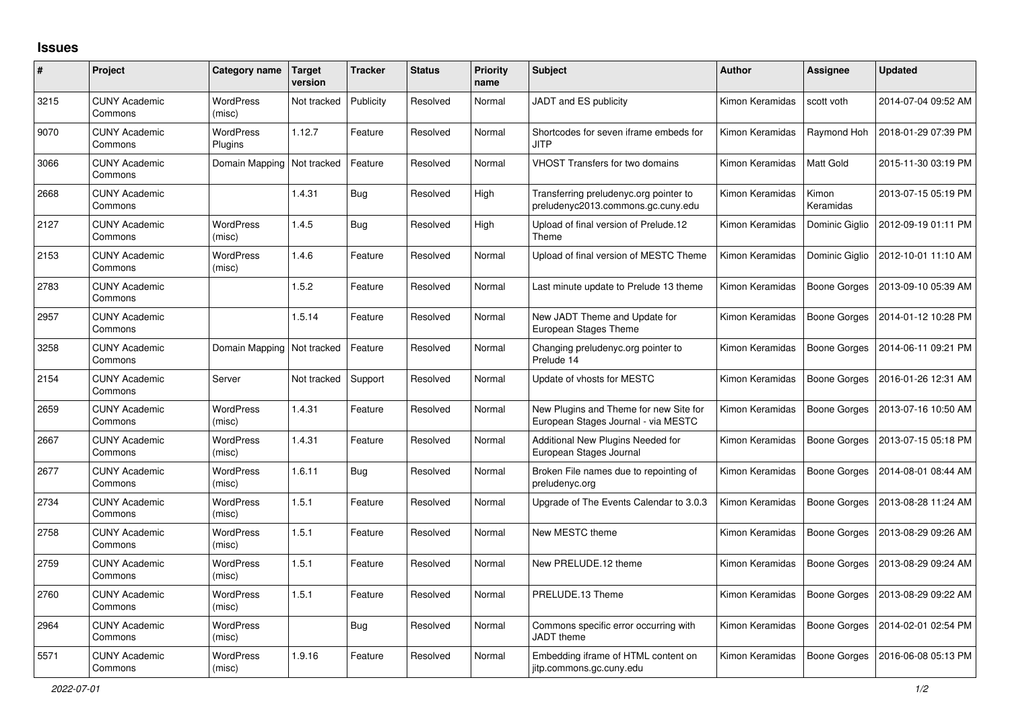## **Issues**

| #    | Project                         | Category name                | <b>Target</b><br>version | <b>Tracker</b> | <b>Status</b> | <b>Priority</b><br>name | <b>Subject</b>                                                                | <b>Author</b>   | <b>Assignee</b>     | <b>Updated</b>      |
|------|---------------------------------|------------------------------|--------------------------|----------------|---------------|-------------------------|-------------------------------------------------------------------------------|-----------------|---------------------|---------------------|
| 3215 | <b>CUNY Academic</b><br>Commons | <b>WordPress</b><br>(misc)   | Not tracked              | Publicity      | Resolved      | Normal                  | JADT and ES publicity                                                         | Kimon Keramidas | scott voth          | 2014-07-04 09:52 AM |
| 9070 | <b>CUNY Academic</b><br>Commons | <b>WordPress</b><br>Plugins  | 1.12.7                   | Feature        | Resolved      | Normal                  | Shortcodes for seven iframe embeds for<br><b>JITP</b>                         | Kimon Keramidas | Raymond Hoh         | 2018-01-29 07:39 PM |
| 3066 | <b>CUNY Academic</b><br>Commons | Domain Mapping               | Not tracked              | Feature        | Resolved      | Normal                  | <b>VHOST Transfers for two domains</b>                                        | Kimon Keramidas | Matt Gold           | 2015-11-30 03:19 PM |
| 2668 | <b>CUNY Academic</b><br>Commons |                              | 1.4.31                   | Bug            | Resolved      | High                    | Transferring preludenyc.org pointer to<br>preludenyc2013.commons.gc.cuny.edu  | Kimon Keramidas | Kimon<br>Keramidas  | 2013-07-15 05:19 PM |
| 2127 | <b>CUNY Academic</b><br>Commons | <b>WordPress</b><br>(misc)   | 1.4.5                    | Bug            | Resolved      | High                    | Upload of final version of Prelude.12<br>Theme                                | Kimon Keramidas | Dominic Giglio      | 2012-09-19 01:11 PM |
| 2153 | <b>CUNY Academic</b><br>Commons | <b>WordPress</b><br>(misc)   | 1.4.6                    | Feature        | Resolved      | Normal                  | Upload of final version of MESTC Theme                                        | Kimon Keramidas | Dominic Giglio      | 2012-10-01 11:10 AM |
| 2783 | <b>CUNY Academic</b><br>Commons |                              | 1.5.2                    | Feature        | Resolved      | Normal                  | Last minute update to Prelude 13 theme                                        | Kimon Keramidas | Boone Gorges        | 2013-09-10 05:39 AM |
| 2957 | <b>CUNY Academic</b><br>Commons |                              | 1.5.14                   | Feature        | Resolved      | Normal                  | New JADT Theme and Update for<br>European Stages Theme                        | Kimon Keramidas | <b>Boone Gorges</b> | 2014-01-12 10:28 PM |
| 3258 | <b>CUNY Academic</b><br>Commons | Domain Mapping   Not tracked |                          | Feature        | Resolved      | Normal                  | Changing preludenyc.org pointer to<br>Prelude 14                              | Kimon Keramidas | Boone Gorges        | 2014-06-11 09:21 PM |
| 2154 | <b>CUNY Academic</b><br>Commons | Server                       | Not tracked              | Support        | Resolved      | Normal                  | Update of vhosts for MESTC                                                    | Kimon Keramidas | <b>Boone Gorges</b> | 2016-01-26 12:31 AM |
| 2659 | <b>CUNY Academic</b><br>Commons | <b>WordPress</b><br>(misc)   | 1.4.31                   | Feature        | Resolved      | Normal                  | New Plugins and Theme for new Site for<br>European Stages Journal - via MESTC | Kimon Keramidas | Boone Gorges        | 2013-07-16 10:50 AM |
| 2667 | <b>CUNY Academic</b><br>Commons | <b>WordPress</b><br>(misc)   | 1.4.31                   | Feature        | Resolved      | Normal                  | Additional New Plugins Needed for<br>European Stages Journal                  | Kimon Keramidas | <b>Boone Gorges</b> | 2013-07-15 05:18 PM |
| 2677 | <b>CUNY Academic</b><br>Commons | <b>WordPress</b><br>(misc)   | 1.6.11                   | Bug            | Resolved      | Normal                  | Broken File names due to repointing of<br>preludenyc.org                      | Kimon Keramidas | <b>Boone Gorges</b> | 2014-08-01 08:44 AM |
| 2734 | <b>CUNY Academic</b><br>Commons | <b>WordPress</b><br>(misc)   | 1.5.1                    | Feature        | Resolved      | Normal                  | Upgrade of The Events Calendar to 3.0.3                                       | Kimon Keramidas | <b>Boone Gorges</b> | 2013-08-28 11:24 AM |
| 2758 | <b>CUNY Academic</b><br>Commons | <b>WordPress</b><br>(misc)   | 1.5.1                    | Feature        | Resolved      | Normal                  | New MESTC theme                                                               | Kimon Keramidas | <b>Boone Gorges</b> | 2013-08-29 09:26 AM |
| 2759 | <b>CUNY Academic</b><br>Commons | <b>WordPress</b><br>(misc)   | 1.5.1                    | Feature        | Resolved      | Normal                  | New PRELUDE.12 theme                                                          | Kimon Keramidas | <b>Boone Gorges</b> | 2013-08-29 09:24 AM |
| 2760 | <b>CUNY Academic</b><br>Commons | <b>WordPress</b><br>(misc)   | 1.5.1                    | Feature        | Resolved      | Normal                  | PRELUDE.13 Theme                                                              | Kimon Keramidas | <b>Boone Gorges</b> | 2013-08-29 09:22 AM |
| 2964 | <b>CUNY Academic</b><br>Commons | WordPress<br>(misc)          |                          | <b>Bug</b>     | Resolved      | Normal                  | Commons specific error occurring with<br>JADT theme                           | Kimon Keramidas | <b>Boone Gorges</b> | 2014-02-01 02:54 PM |
| 5571 | <b>CUNY Academic</b><br>Commons | <b>WordPress</b><br>(misc)   | 1.9.16                   | Feature        | Resolved      | Normal                  | Embedding iframe of HTML content on<br>jitp.commons.gc.cuny.edu               | Kimon Keramidas | Boone Gorges        | 2016-06-08 05:13 PM |